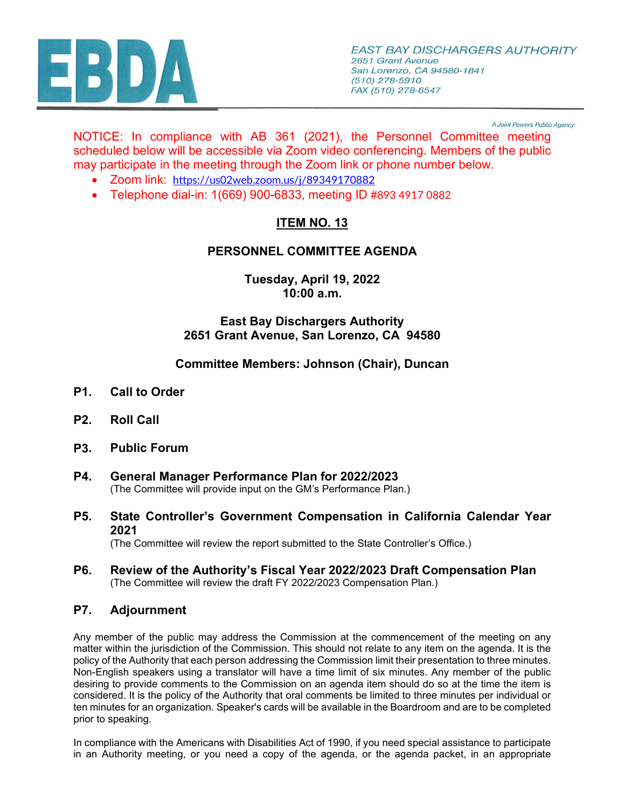

A Joint Powers Public Agency

NOTICE: In compliance with AB 361 (2021), the Personnel Committee meeting scheduled below will be accessible via Zoom video conferencing. Members of the public may participate in the meeting through the Zoom link or phone number below.

- Zoom link: <https://us02web.zoom.us/j/89349170882>
- Telephone dial-in: 1(669) 900-6833, meeting ID #893 4917 0882

# **ITEM NO. 13**

### **PERSONNEL COMMITTEE AGENDA**

**Tuesday, April 19, 2022 10:00 a.m.**

#### **East Bay Dischargers Authority 2651 Grant Avenue, San Lorenzo, CA 94580**

#### **Committee Members: Johnson (Chair), Duncan**

- **P1. Call to Order**
- **P2. Roll Call**
- **P3. Public Forum**
- **P4. General Manager Performance Plan for 2022/2023** (The Committee will provide input on the GM's Performance Plan.)
- **P5. State Controller's Government Compensation in California Calendar Year 2021**

(The Committee will review the report submitted to the State Controller's Office.)

**P6. Review of the Authority's Fiscal Year 2022/2023 Draft Compensation Plan** (The Committee will review the draft FY 2022/2023 Compensation Plan.)

#### **P7. Adjournment**

Any member of the public may address the Commission at the commencement of the meeting on any matter within the jurisdiction of the Commission. This should not relate to any item on the agenda. It is the policy of the Authority that each person addressing the Commission limit their presentation to three minutes. Non-English speakers using a translator will have a time limit of six minutes. Any member of the public desiring to provide comments to the Commission on an agenda item should do so at the time the item is considered. It is the policy of the Authority that oral comments be limited to three minutes per individual or ten minutes for an organization. Speaker's cards will be available in the Boardroom and are to be completed prior to speaking.

In compliance with the Americans with Disabilities Act of 1990, if you need special assistance to participate in an Authority meeting, or you need a copy of the agenda, or the agenda packet, in an appropriate